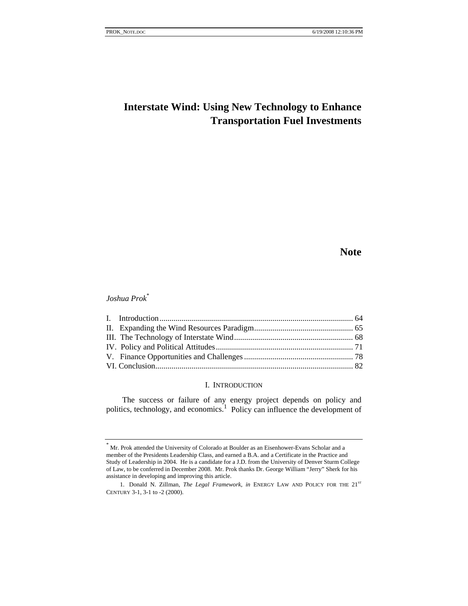# **Interstate Wind: Using New Technology to Enhance Transportation Fuel Investments**

# **Note**

# *Joshua Prok*\*

## I. INTRODUCTION

The success or failure of any energy project depends on policy and politics, technology, and economics.<sup>1</sup> Policy can influence the development of

<sup>\*</sup> Mr. Prok attended the University of Colorado at Boulder as an Eisenhower-Evans Scholar and a member of the Presidents Leadership Class, and earned a B.A. and a Certificate in the Practice and Study of Leadership in 2004. He is a candidate for a J.D. from the University of Denver Sturm College of Law, to be conferred in December 2008. Mr. Prok thanks Dr. George William "Jerry" Sherk for his assistance in developing and improving this article.

<sup>1.</sup> Donald N. Zillman, *The Legal Framework*, *in* ENERGY LAW AND POLICY FOR THE 21<sup>ST</sup> CENTURY 3-1, 3-1 to -2 (2000).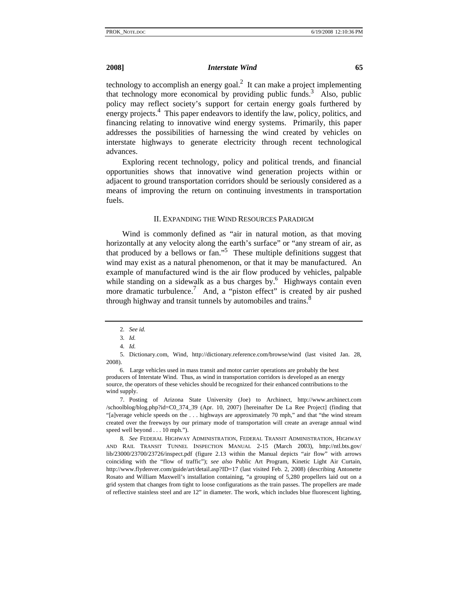technology to accomplish an energy goal.<sup>2</sup> It can make a project implementing that technology more economical by providing public funds.<sup>3</sup> Also, public policy may reflect society's support for certain energy goals furthered by energy projects.<sup>4</sup> This paper endeavors to identify the law, policy, politics, and financing relating to innovative wind energy systems. Primarily, this paper addresses the possibilities of harnessing the wind created by vehicles on interstate highways to generate electricity through recent technological advances.

Exploring recent technology, policy and political trends, and financial opportunities shows that innovative wind generation projects within or adjacent to ground transportation corridors should be seriously considered as a means of improving the return on continuing investments in transportation fuels.

### II. EXPANDING THE WIND RESOURCES PARADIGM

Wind is commonly defined as "air in natural motion, as that moving horizontally at any velocity along the earth's surface" or "any stream of air, as that produced by a bellows or fan."5 These multiple definitions suggest that wind may exist as a natural phenomenon, or that it may be manufactured. An example of manufactured wind is the air flow produced by vehicles, palpable while standing on a sidewalk as a bus charges by.<sup>6</sup> Highways contain even more dramatic turbulence.<sup>7</sup> And, a "piston effect" is created by air pushed through highway and transit tunnels by automobiles and trains.<sup>8</sup>

 7. Posting of Arizona State University (Joe) to Archinect, http://www.archinect.com /schoolblog/blog.php?id=C0\_374\_39 (Apr. 10, 2007) [hereinafter De La Ree Project] (finding that "[a]verage vehicle speeds on the . . . highways are approximately 70 mph," and that "the wind stream created over the freeways by our primary mode of transportation will create an average annual wind speed well beyond . . . 10 mph.").

8*. See* FEDERAL HIGHWAY ADMINISTRATION, FEDERAL TRANSIT ADMINISTRATION, HIGHWAY AND RAIL TRANSIT TUNNEL INSPECTION MANUAL 2-15 (March 2003), http://ntl.bts.gov/ lib/23000/23700/23726/inspect.pdf (figure 2.13 within the Manual depicts "air flow" with arrows coinciding with the "flow of traffic"); *see also* Public Art Program, Kinetic Light Air Curtain, http://www.flydenver.com/guide/art/detail.asp?ID=17 (last visited Feb. 2, 2008) (describing Antonette Rosato and William Maxwell's installation containing, "a grouping of 5,280 propellers laid out on a grid system that changes from tight to loose configurations as the train passes. The propellers are made of reflective stainless steel and are 12" in diameter. The work, which includes blue fluorescent lighting,

<sup>2</sup>*. See id.*

<sup>3</sup>*. Id.*

<sup>4</sup>*. Id.*

 <sup>5.</sup> Dictionary.com, Wind, http://dictionary.reference.com/browse/wind (last visited Jan. 28, 2008).

<sup>6.</sup> Large vehicles used in mass transit and motor carrier operations are probably the best producers of Interstate Wind. Thus, as wind in transportation corridors is developed as an energy source, the operators of these vehicles should be recognized for their enhanced contributions to the wind supply.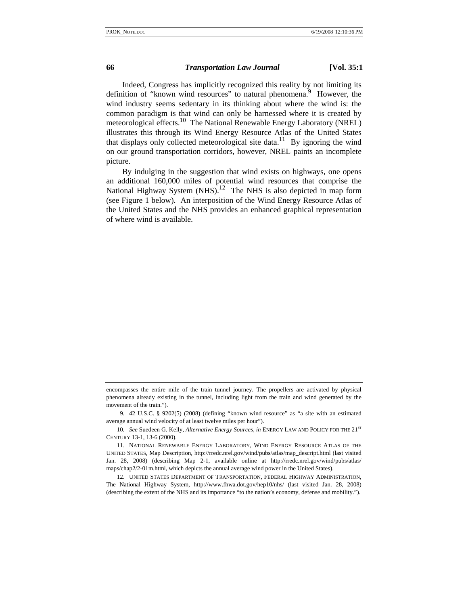Indeed, Congress has implicitly recognized this reality by not limiting its definition of "known wind resources" to natural phenomena.<sup>9</sup> However, the wind industry seems sedentary in its thinking about where the wind is: the common paradigm is that wind can only be harnessed where it is created by meteorological effects.<sup>10</sup> The National Renewable Energy Laboratory (NREL) illustrates this through its Wind Energy Resource Atlas of the United States that displays only collected meteorological site data.<sup>11</sup> By ignoring the wind on our ground transportation corridors, however, NREL paints an incomplete picture.

By indulging in the suggestion that wind exists on highways, one opens an additional 160,000 miles of potential wind resources that comprise the National Highway System  $(NHS)$ <sup>12</sup> The NHS is also depicted in map form (see Figure 1 below). An interposition of the Wind Energy Resource Atlas of the United States and the NHS provides an enhanced graphical representation of where wind is available.

encompasses the entire mile of the train tunnel journey. The propellers are activated by physical phenomena already existing in the tunnel, including light from the train and wind generated by the movement of the train.").

 <sup>9. 42</sup> U.S.C. § 9202(5) (2008) (defining "known wind resource" as "a site with an estimated average annual wind velocity of at least twelve miles per hour").

<sup>10.</sup> See Suedeen G. Kelly, Alternative Energy Sources, in ENERGY LAW AND POLICY FOR THE 21<sup>ST</sup> CENTURY 13-1, 13-6 (2000).

 <sup>11.</sup> NATIONAL RENEWABLE ENERGY LABORATORY, WIND ENERGY RESOURCE ATLAS OF THE UNITED STATES, Map Description, http://rredc.nrel.gov/wind/pubs/atlas/map\_descript.html (last visited Jan. 28, 2008) (describing Map 2-1, available online at http://rredc.nrel.gov/wind/pubs/atlas/ maps/chap2/2-01m.html, which depicts the annual average wind power in the United States).

 <sup>12.</sup> UNITED STATES DEPARTMENT OF TRANSPORTATION, FEDERAL HIGHWAY ADMINISTRATION, The National Highway System, http://www.fhwa.dot.gov/hep10/nhs/ (last visited Jan. 28, 2008) (describing the extent of the NHS and its importance "to the nation's economy, defense and mobility.").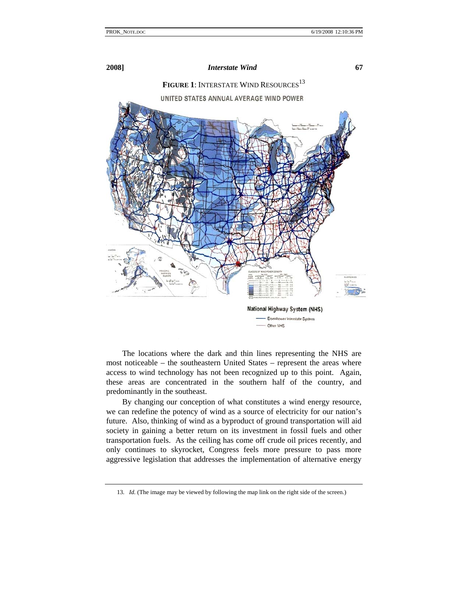

The locations where the dark and thin lines representing the NHS are most noticeable – the southeastern United States – represent the areas where access to wind technology has not been recognized up to this point. Again, these areas are concentrated in the southern half of the country, and predominantly in the southeast.

By changing our conception of what constitutes a wind energy resource, we can redefine the potency of wind as a source of electricity for our nation's future. Also, thinking of wind as a byproduct of ground transportation will aid society in gaining a better return on its investment in fossil fuels and other transportation fuels. As the ceiling has come off crude oil prices recently, and only continues to skyrocket, Congress feels more pressure to pass more aggressive legislation that addresses the implementation of alternative energy

<sup>13</sup>*. Id.* (The image may be viewed by following the map link on the right side of the screen.)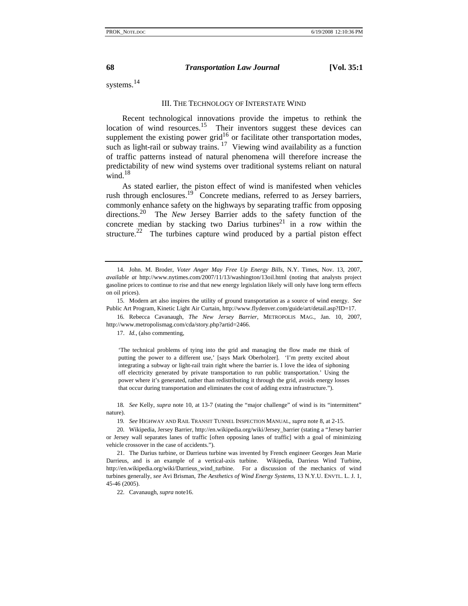systems.<sup>14</sup>

### III. THE TECHNOLOGY OF INTERSTATE WIND

Recent technological innovations provide the impetus to rethink the location of wind resources.<sup>15</sup> Their inventors suggest these devices can supplement the existing power grid<sup>16</sup> or facilitate other transportation modes, such as light-rail or subway trains.  $17$  Viewing wind availability as a function of traffic patterns instead of natural phenomena will therefore increase the predictability of new wind systems over traditional systems reliant on natural wind. $18$ 

As stated earlier, the piston effect of wind is manifested when vehicles rush through enclosures.<sup>19</sup> Concrete medians, referred to as Jersey barriers, commonly enhance safety on the highways by separating traffic from opposing directions.20 The *New* Jersey Barrier adds to the safety function of the concrete median by stacking two Darius turbines<sup>21</sup> in a row within the structure.<sup>22</sup> The turbines capture wind produced by a partial piston effect

16*.* Rebecca Cavanaugh, *The New Jersey Barrier*, METROPOLIS MAG., Jan. 10, 2007, http://www.metropolismag.com/cda/story.php?artid=2466.

17. *Id.*, (also commenting,

'The technical problems of tying into the grid and managing the flow made me think of putting the power to a different use,' [says Mark Oberholzer]. 'I'm pretty excited about integrating a subway or light-rail train right where the barrier is. I love the idea of siphoning off electricity generated by private transportation to run public transportation.' Using the power where it's generated, rather than redistributing it through the grid, avoids energy losses that occur during transportation and eliminates the cost of adding extra infrastructure.").

18*. See* Kelly, *supra* note 10, at 13-7 (stating the "major challenge" of wind is its "intermittent" nature).

19*. See* HIGHWAY AND RAIL TRANSIT TUNNEL INSPECTION MANUAL, *supra* note 8, at 2-15.

22. Cavanaugh, *supra* note16.

 <sup>14.</sup> John. M. Broder, *Voter Anger May Free Up Energy Bills*, N.Y. Times, Nov. 13, 2007, *available at* http://www.nytimes.com/2007/11/13/washington/13oil.html (noting that analysts project gasoline prices to continue to rise and that new energy legislation likely will only have long term effects on oil prices).

 <sup>15.</sup> Modern art also inspires the utility of ground transportation as a source of wind energy. *See* Public Art Program, Kinetic Light Air Curtain, http://www.flydenver.com/guide/art/detail.asp?ID=17.

 <sup>20.</sup> Wikipedia, Jersey Barrier, http://en.wikipedia.org/wiki/Jersey\_barrier (stating a "Jersey barrier or Jersey wall separates lanes of traffic [often opposing lanes of traffic] with a goal of minimizing vehicle crossover in the case of accidents.").

 <sup>21.</sup> The Darius turbine, or Darrieus turbine was invented by French engineer Georges Jean Marie Darrieus, and is an example of a vertical-axis turbine. Wikipedia, Darrieus Wind Turbine, http://en.wikipedia.org/wiki/Darrieus\_wind\_turbine. For a discussion of the mechanics of wind turbines generally, *see* Avi Brisman, *The Aesthetics of Wind Energy Systems*, 13 N.Y.U. ENVTL. L. J. 1, 45-46 (2005).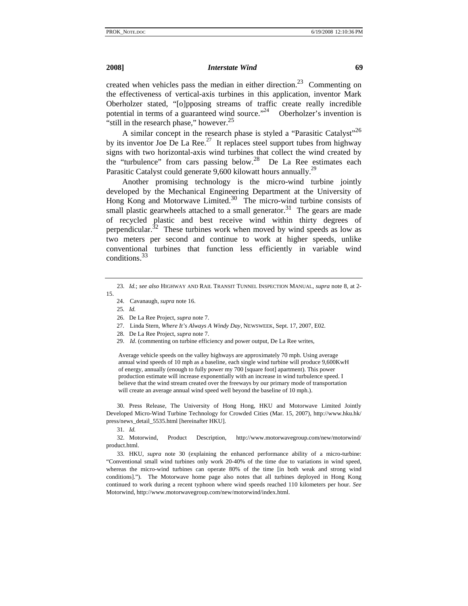created when vehicles pass the median in either direction.<sup>23</sup> Commenting on the effectiveness of vertical-axis turbines in this application, inventor Mark Oberholzer stated, "[o]pposing streams of traffic create really incredible potential in terms of a guaranteed wind source. $12^4$  Oberholzer's invention is "still in the research phase," however. $25$ 

A similar concept in the research phase is styled a "Parasitic Catalyst"<sup>26</sup> by its inventor Joe De La Ree.<sup>27</sup> It replaces steel support tubes from highway signs with two horizontal-axis wind turbines that collect the wind created by the "turbulence" from cars passing below.<sup>28</sup> De La Ree estimates each Parasitic Catalyst could generate 9,600 kilowatt hours annually.<sup>29</sup>

Another promising technology is the micro-wind turbine jointly developed by the Mechanical Engineering Department at the University of Hong Kong and Motorwave Limited. $30$  The micro-wind turbine consists of small plastic gearwheels attached to a small generator.<sup>31</sup> The gears are made of recycled plastic and best receive wind within thirty degrees of perpendicular.<sup>32</sup> These turbines work when moved by wind speeds as low as two meters per second and continue to work at higher speeds, unlike conventional turbines that function less efficiently in variable wind conditions.33

- 24. Cavanaugh, *supra* note 16.
- 25*. Id.*
- 26. De La Ree Project, *supra* note 7.
- 27. Linda Stern, *Where It's Always A Windy Day*, NEWSWEEK, Sept. 17, 2007, E02.
- 28*.* De La Ree Project, *supra* note 7.
- 29. *Id*. (commenting on turbine efficiency and power output, De La Ree writes,

Average vehicle speeds on the valley highways are approximately 70 mph. Using average annual wind speeds of 10 mph as a baseline, each single wind turbine will produce 9,600KwH of energy, annually (enough to fully power my 700 [square foot] apartment). This power production estimate will increase exponentially with an increase in wind turbulence speed. I believe that the wind stream created over the freeways by our primary mode of transportation will create an average annual wind speed well beyond the baseline of 10 mph.).

 30. Press Release, The University of Hong Hong, HKU and Motorwave Limited Jointly Developed Micro-Wind Turbine Technology for Crowded Cities (Mar. 15, 2007), http://www.hku.hk/ press/news\_detail\_5535.html [hereinafter HKU].

31*. Id.*

 32. Motorwind, Product Description, http://www.motorwavegroup.com/new/motorwind/ product.html.

 33. HKU, *supra* note 30 (explaining the enhanced performance ability of a micro-turbine: "Conventional small wind turbines only work 20-40% of the time due to variations in wind speed, whereas the micro-wind turbines can operate 80% of the time [in both weak and strong wind conditions]."). The Motorwave home page also notes that all turbines deployed in Hong Kong continued to work during a recent typhoon where wind speeds reached 110 kilometers per hour. *See*  Motorwind, http://www.motorwavegroup.com/new/motorwind/index.html.

<sup>23</sup>*. Id.*; *see also* HIGHWAY AND RAIL TRANSIT TUNNEL INSPECTION MANUAL, *supra* note 8, at 2- 15.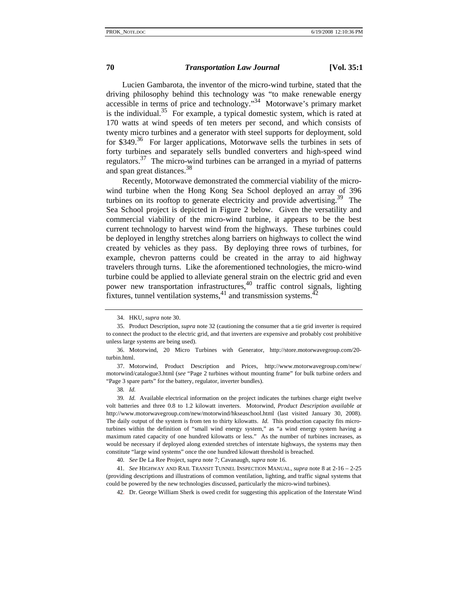Lucien Gambarota, the inventor of the micro-wind turbine, stated that the driving philosophy behind this technology was "to make renewable energy accessible in terms of price and technology."<sup>34</sup> Motorwave's primary market is the individual.<sup>35</sup> For example, a typical domestic system, which is rated at 170 watts at wind speeds of ten meters per second, and which consists of twenty micro turbines and a generator with steel supports for deployment, sold for \$349.<sup>36</sup> For larger applications, Motorwave sells the turbines in sets of forty turbines and separately sells bundled converters and high-speed wind regulators.<sup>37</sup> The micro-wind turbines can be arranged in a myriad of patterns and span great distances.<sup>38</sup>

Recently, Motorwave demonstrated the commercial viability of the microwind turbine when the Hong Kong Sea School deployed an array of 396 turbines on its rooftop to generate electricity and provide advertising.<sup>39</sup> The Sea School project is depicted in Figure 2 below. Given the versatility and commercial viability of the micro-wind turbine, it appears to be the best current technology to harvest wind from the highways. These turbines could be deployed in lengthy stretches along barriers on highways to collect the wind created by vehicles as they pass. By deploying three rows of turbines, for example, chevron patterns could be created in the array to aid highway travelers through turns. Like the aforementioned technologies, the micro-wind turbine could be applied to alleviate general strain on the electric grid and even power new transportation infrastructures,<sup>40</sup> traffic control signals, lighting fixtures, tunnel ventilation systems,  $41$  and transmission systems.  $42$ 

 <sup>34.</sup> HKU, *supra* note 30.

 <sup>35.</sup> Product Description, *supra* note 32 (cautioning the consumer that a tie grid inverter is required to connect the product to the electric grid, and that inverters are expensive and probably cost prohibitive unless large systems are being used).

 <sup>36.</sup> Motorwind, 20 Micro Turbines with Generator, http://store.motorwavegroup.com/20 turbin.html.

 <sup>37.</sup> Motorwind, Product Description and Prices, http://www.motorwavegroup.com/new/ motorwind/catalogue3.html (*see* "Page 2 turbines without mounting frame" for bulk turbine orders and "Page 3 spare parts" for the battery, regulator, inverter bundles).

<sup>38</sup>*. Id.*

<sup>39</sup>*. Id.* Available electrical information on the project indicates the turbines charge eight twelve volt batteries and three 0.8 to 1.2 kilowatt inverters. Motorwind, *Product Description available at* http://www.motorwavegroup.com/new/motorwind/hkseaschool.html (last visited January 30, 2008). The daily output of the system is from ten to thirty kilowatts. *Id.* This production capacity fits microturbines within the definition of "small wind energy system," as "a wind energy system having a maximum rated capacity of one hundred kilowatts or less." As the number of turbines increases, as would be necessary if deployed along extended stretches of interstate highways, the systems may then constitute "large wind systems" once the one hundred kilowatt threshold is breached.

<sup>40</sup>*. See* De La Ree Project, *supra* note 7; Cavanaugh, *supra* note 16.

<sup>41</sup>*. See* HIGHWAY AND RAIL TRANSIT TUNNEL INSPECTION MANUAL, *supra* note 8 at 2-16 – 2-25 (providing descriptions and illustrations of common ventilation, lighting, and traffic signal systems that could be powered by the new technologies discussed, particularly the micro-wind turbines).

<sup>42.</sup> Dr. George William Sherk is owed credit for suggesting this application of the Interstate Wind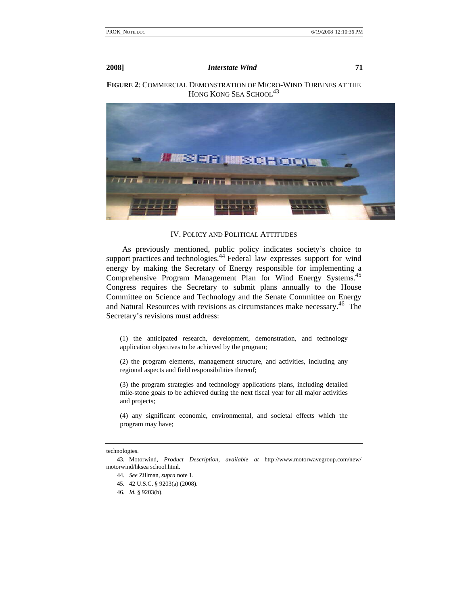**FIGURE 2**: COMMERCIAL DEMONSTRATION OF MICRO-WIND TURBINES AT THE HONG KONG SEA SCHOOL<sup>43</sup>



### IV. POLICY AND POLITICAL ATTITUDES

As previously mentioned, public policy indicates society's choice to support practices and technologies.<sup>44</sup> Federal law expresses support for wind energy by making the Secretary of Energy responsible for implementing a Comprehensive Program Management Plan for Wind Energy Systems.<sup>45</sup> Congress requires the Secretary to submit plans annually to the House Committee on Science and Technology and the Senate Committee on Energy and Natural Resources with revisions as circumstances make necessary.<sup>46</sup> The Secretary's revisions must address:

(1) the anticipated research, development, demonstration, and technology application objectives to be achieved by the program;

(2) the program elements, management structure, and activities, including any regional aspects and field responsibilities thereof;

(3) the program strategies and technology applications plans, including detailed mile-stone goals to be achieved during the next fiscal year for all major activities and projects;

(4) any significant economic, environmental, and societal effects which the program may have;

### technologies.

 <sup>43.</sup> Motorwind, *Product Description*, *available at* http://www.motorwavegroup.com/new/ motorwind/hksea school.html.

<sup>44</sup>*. See* Zillman, *supra* note 1.

 <sup>45. 42</sup> U.S.C. § 9203(a) (2008).

<sup>46</sup>*. Id.* § 9203(b).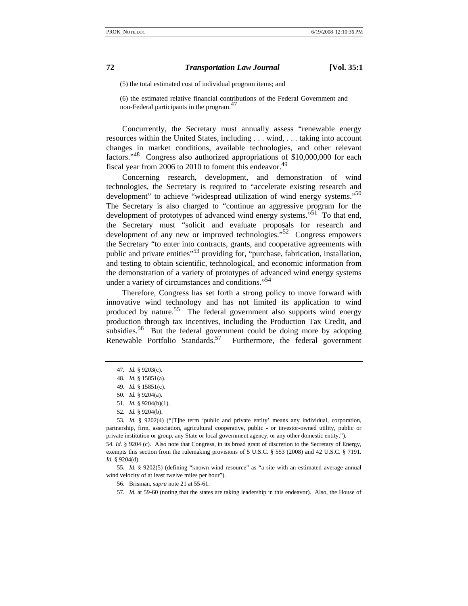(5) the total estimated cost of individual program items; and

(6) the estimated relative financial contributions of the Federal Government and non-Federal participants in the program.<sup>4</sup>

Concurrently, the Secretary must annually assess "renewable energy resources within the United States, including . . . wind, . . . taking into account changes in market conditions, available technologies, and other relevant factors."<sup>48</sup> Congress also authorized appropriations of \$10,000,000 for each fiscal year from 2006 to 2010 to foment this endeavor.<sup>49</sup>

Concerning research, development, and demonstration of wind technologies, the Secretary is required to "accelerate existing research and development" to achieve "widespread utilization of wind energy systems."<sup>50</sup> The Secretary is also charged to "continue an aggressive program for the development of prototypes of advanced wind energy systems.<sup>51</sup> To that end, the Secretary must "solicit and evaluate proposals for research and development of any new or improved technologies."<sup>52</sup> Congress empowers the Secretary "to enter into contracts, grants, and cooperative agreements with public and private entities<sup>"53</sup> providing for, "purchase, fabrication, installation, and testing to obtain scientific, technological, and economic information from the demonstration of a variety of prototypes of advanced wind energy systems under a variety of circumstances and conditions."<sup>54</sup>

Therefore, Congress has set forth a strong policy to move forward with innovative wind technology and has not limited its application to wind produced by nature.55 The federal government also supports wind energy production through tax incentives, including the Production Tax Credit, and subsidies.<sup>56</sup> But the federal government could be doing more by adopting Renewable Portfolio Standards.<sup>57</sup> Furthermore, the federal government

55*. Id.* § 9202(5) (defining "known wind resource" as "a site with an estimated average annual wind velocity of at least twelve miles per hour").

57*. Id.* at 59-60 (noting that the states are taking leadership in this endeavor). Also, the House of

<sup>47</sup>*. Id.* § 9203(c).

<sup>48</sup>*. Id.* § 15851(a).

<sup>49</sup>*. Id.* § 15851(c).

<sup>50</sup>*. Id.* § 9204(a).

<sup>51</sup>*. Id.* § 9204(b)(1).

<sup>52</sup>*. Id.* § 9204(b).

<sup>53</sup>*. Id.* § 9202(4) ("[T]he term 'public and private entity' means any individual, corporation, partnership, firm, association, agricultural cooperative, public - or investor-owned utility, public or private institution or group, any State or local government agency, or any other domestic entity."). 54*. Id.* § 9204 (c). Also note that Congress, in its broad grant of discretion to the Secretary of Energy,

exempts this section from the rulemaking provisions of 5 U.S.C. § 553 (2008) and 42 U.S.C. § 7191. *Id.* § 9204(d).

 <sup>56.</sup> Brisman, *supra* note 21 at 55-61.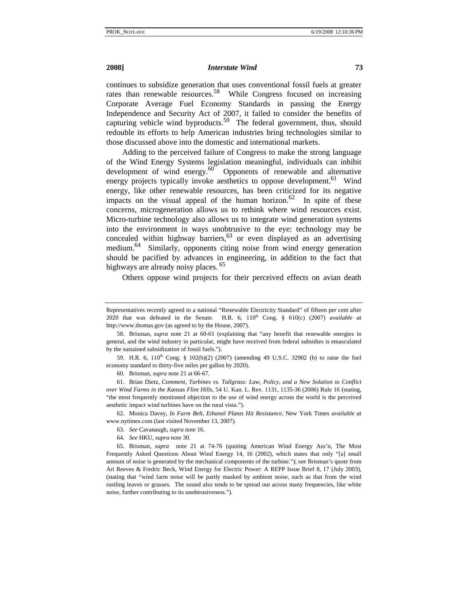continues to subsidize generation that uses conventional fossil fuels at greater rates than renewable resources.<sup>58</sup> While Congress focused on increasing Corporate Average Fuel Economy Standards in passing the Energy Independence and Security Act of 2007, it failed to consider the benefits of capturing vehicle wind byproducts.<sup>59</sup> The federal government, thus, should redouble its efforts to help American industries bring technologies similar to those discussed above into the domestic and international markets.

Adding to the perceived failure of Congress to make the strong language of the Wind Energy Systems legislation meaningful, individuals can inhibit development of wind energy. $60$  Opponents of renewable and alternative energy projects typically invoke aesthetics to oppose development.<sup>61</sup> Wind energy, like other renewable resources, has been criticized for its negative impacts on the visual appeal of the human horizon.<sup>62</sup> In spite of these concerns, microgeneration allows us to rethink where wind resources exist. Micro-turbine technology also allows us to integrate wind generation systems into the environment in ways unobtrusive to the eye: technology may be concealed within highway barriers,  $63$  or even displayed as an advertising medium.<sup>64</sup> Similarly, opponents citing noise from wind energy generation should be pacified by advances in engineering, in addition to the fact that highways are already noisy places.<sup>65</sup>

Others oppose wind projects for their perceived effects on avian death

 62. Monica Davey, *In Farm Belt, Ethanol Plants Hit Resistance*, New York Times *available at* www.nytimes.com (last visited November 13, 2007).

- 63*. See* Cavanaugh, *supra* note 16.
- 64*. See* HKU, *supra* note 30.

Representatives recently agreed to a national "Renewable Electricity Standard" of fifteen per cent after 2020 that was defeated in the Senate. H.R.  $6, 110<sup>th</sup>$  Cong. §  $610(c)$  (2007) *available at* http://www.thomas.gov (as agreed to by the House, 2007).

 <sup>58.</sup> Brisman, *supra* note 21 at 60-61 (explaining that "any benefit that renewable energies in general, and the wind industry in particular, might have received from federal subsidies is emasculated by the sustained subsidization of fossil fuels.").

<sup>59.</sup> H.R. 6,  $110^{th}$  Cong. §  $102(b)(2)$  (2007) (amending 49 U.S.C. 32902 (b) to raise the fuel economy standard to thirty-five miles per gallon by 2020).

 <sup>60.</sup> Brisman, *supra* note 21 at 66-67.

 <sup>61.</sup> Brian Dietz, *Comment, Turbines vs. Tallgrass: Law, Policy, and a New Solution to Conflict over Wind Farms in the Kansas Flint Hills*, 54 U. Kan. L. Rev. 1131, 1135-36 (2006) Rule 16 (stating, "the most frequently mentioned objection to the use of wind energy across the world is the perceived aesthetic impact wind turbines have on the rural vista.").

 <sup>65.</sup> Brisman, *supra* note 21 at 74-76 (quoting American Wind Energy Ass'n, The Most Frequently Asked Questions About Wind Energy 14, 16 (2002), which states that only "[a] small amount of noise is generated by the mechanical components of the turbine."); see Brisman's quote from Ari Reeves & Fredric Beck, Wind Energy for Electric Power: A REPP Issue Brief 8, 17 (July 2003), (stating that "wind farm noise will be partly masked by ambient noise, such as that from the wind rustling leaves or grasses. The sound also tends to be spread out across many frequencies, like white noise, further contributing to its unobtrusiveness.").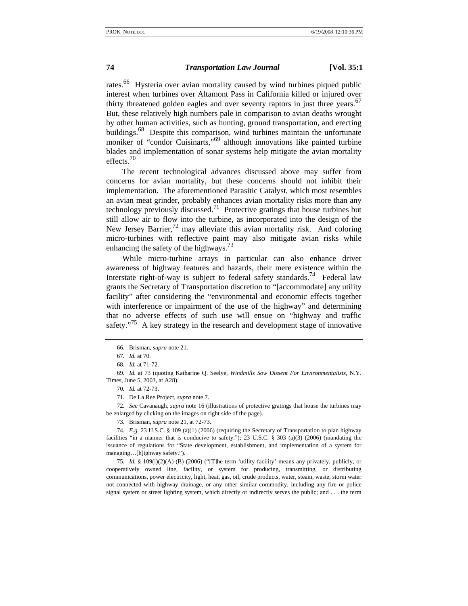rates.<sup>66</sup> Hysteria over avian mortality caused by wind turbines piqued public interest when turbines over Altamont Pass in California killed or injured over thirty threatened golden eagles and over seventy raptors in just three years. $67$ But, these relatively high numbers pale in comparison to avian deaths wrought by other human activities, such as hunting, ground transportation, and erecting buildings.<sup>68</sup> Despite this comparison, wind turbines maintain the unfortunate moniker of "condor Cuisinarts,"<sup>69</sup> although innovations like painted turbine blades and implementation of sonar systems help mitigate the avian mortality effects.<sup>70</sup>

The recent technological advances discussed above may suffer from concerns for avian mortality, but these concerns should not inhibit their implementation. The aforementioned Parasitic Catalyst, which most resembles an avian meat grinder, probably enhances avian mortality risks more than any technology previously discussed.<sup>71</sup> Protective gratings that house turbines but still allow air to flow into the turbine, as incorporated into the design of the New Jersey Barrier,  $^{72}$  may alleviate this avian mortality risk. And coloring micro-turbines with reflective paint may also mitigate avian risks while enhancing the safety of the highways.<sup>73</sup>

While micro-turbine arrays in particular can also enhance driver awareness of highway features and hazards, their mere existence within the Interstate right-of-way is subject to federal safety standards.<sup>74</sup> Federal law grants the Secretary of Transportation discretion to "[accommodate] any utility facility" after considering the "environmental and economic effects together with interference or impairment of the use of the highway" and determining that no adverse effects of such use will ensue on "highway and traffic safety. $175$  A key strategy in the research and development stage of innovative

69*. Id.* at 73 (quoting Katharine Q. Seelye, *Windmills Sow Dissent For Environmentalists,* N.Y. Times, June 5, 2003, at A28).

70*. Id.* at 72-73.

71. De La Ree Project, *supra* note 7.

72*. See* Cavanaugh, *supra* note 16 (illustrations of protective gratings that house the turbines may be enlarged by clicking on the images on right side of the page).

73. Brisman, *supra* note 21, at 72-73.

74*. E.g.* 23 U.S.C. § 109 (a)(1) (2006) (requiring the Secretary of Transportation to plan highway facilities "in a manner that is conducive to safety."); 23 U.S.C. § 303 (a)(3) (2006) (mandating the issuance of regulations for "State development, establishment, and implementation of a system for managing…[h]ighway safety.").

75*. Id.* § 109(l)(2)(A)-(B) (2006) ("[T]he term 'utility facility' means any privately, publicly, or cooperatively owned line, facility, or system for producing, transmitting, or distributing communications, power electricity, light, heat, gas, oil, crude products, water, steam, waste, storm water not connected with highway drainage, or any other similar commodity, including any fire or police signal system or street lighting system, which directly or indirectly serves the public; and . . . the term

 <sup>66.</sup> Brisman, *supra* note 21.

<sup>67</sup>*. Id.* at 70.

<sup>68</sup>*. Id.* at 71-72.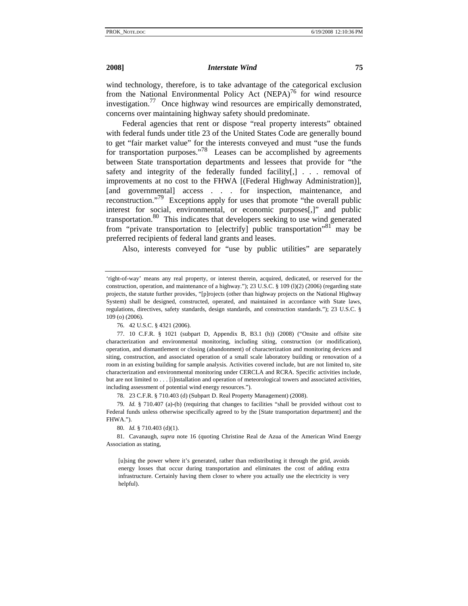wind technology, therefore, is to take advantage of the categorical exclusion from the National Environmental Policy Act (NEPA)<sup>76</sup> for wind resource investigation.<sup>77</sup> Once highway wind resources are empirically demonstrated, concerns over maintaining highway safety should predominate.

Federal agencies that rent or dispose "real property interests" obtained with federal funds under title 23 of the United States Code are generally bound to get "fair market value" for the interests conveyed and must "use the funds for transportation purposes."78 Leases can be accomplished by agreements between State transportation departments and lessees that provide for "the safety and integrity of the federally funded facility[,] . . . removal of improvements at no cost to the FHWA [(Federal Highway Administration)], [and governmental] access . . . for inspection, maintenance, and reconstruction."<sup>79</sup> Exceptions apply for uses that promote "the overall public interest for social, environmental, or economic purposes[,]" and public transportation.<sup>80</sup> This indicates that developers seeking to use wind generated from "private transportation to [electrify] public transportation"<sup>81</sup> may be preferred recipients of federal land grants and leases.

Also, interests conveyed for "use by public utilities" are separately

76. 42 U.S.C. § 4321 (2006).

78. 23 C.F.R. § 710.403 (d) (Subpart D. Real Property Management) (2008).

79*. Id.* § 710.407 (a)-(b) (requiring that changes to facilities "shall be provided without cost to Federal funds unless otherwise specifically agreed to by the [State transportation department] and the FHWA.").

80*. Id.* § 710.403 (d)(1).

 81. Cavanaugh, *supra* note 16 (quoting Christine Real de Azua of the American Wind Energy Association as stating,

[u]sing the power where it's generated, rather than redistributing it through the grid, avoids energy losses that occur during transportation and eliminates the cost of adding extra infrastructure. Certainly having them closer to where you actually use the electricity is very helpful).

<sup>&#</sup>x27;right-of-way' means any real property, or interest therein, acquired, dedicated, or reserved for the construction, operation, and maintenance of a highway."); 23 U.S.C. § 109 (l)(2) (2006) (regarding state projects, the statute further provides, "[p]rojects (other than highway projects on the National Highway System) shall be designed, constructed, operated, and maintained in accordance with State laws, regulations, directives, safety standards, design standards, and construction standards."); 23 U.S.C. § 109 (o) (2006).

 <sup>77. 10</sup> C.F.R. § 1021 (subpart D, Appendix B, B3.1 (h)) (2008) ("Onsite and offsite site characterization and environmental monitoring, including siting, construction (or modification), operation, and dismantlement or closing (abandonment) of characterization and monitoring devices and siting, construction, and associated operation of a small scale laboratory building or renovation of a room in an existing building for sample analysis. Activities covered include, but are not limited to, site characterization and environmental monitoring under CERCLA and RCRA. Specific activities include, but are not limited to . . . [i]nstallation and operation of meteorological towers and associated activities, including assessment of potential wind energy resources.").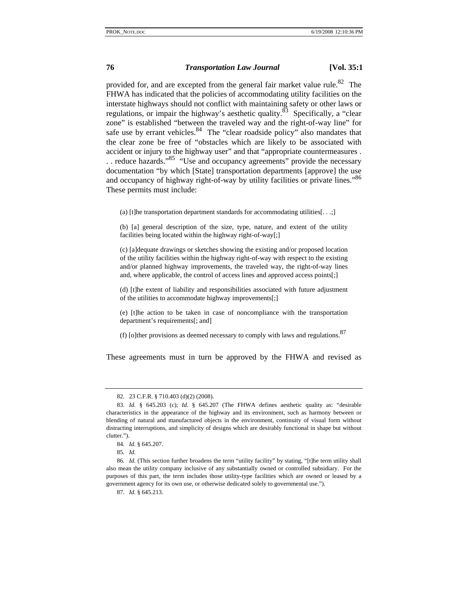provided for, and are excepted from the general fair market value rule.<sup>82</sup> The FHWA has indicated that the policies of accommodating utility facilities on the interstate highways should not conflict with maintaining safety or other laws or regulations, or impair the highway's aesthetic quality. $83$  Specifically, a "clear zone" is established "between the traveled way and the right-of-way line" for safe use by errant vehicles.  $84$  The "clear roadside policy" also mandates that the clear zone be free of "obstacles which are likely to be associated with accident or injury to the highway user" and that "appropriate countermeasures . . . reduce hazards."<sup>85</sup> "Use and occupancy agreements" provide the necessary documentation "by which [State] transportation departments [approve] the use and occupancy of highway right-of-way by utility facilities or private lines."<sup>86</sup> These permits must include:

(a) [t]he transportation department standards for accommodating utilities[ $\dots$ ;]

(b) [a] general description of the size, type, nature, and extent of the utility facilities being located within the highway right-of-way[;]

(c) [a]dequate drawings or sketches showing the existing and/or proposed location of the utility facilities within the highway right-of-way with respect to the existing and/or planned highway improvements, the traveled way, the right-of-way lines and, where applicable, the control of access lines and approved access points[;]

(d) [t]he extent of liability and responsibilities associated with future adjustment of the utilities to accommodate highway improvements[;]

(e) [t]he action to be taken in case of noncompliance with the transportation department's requirements[; and]

(f) [o]ther provisions as deemed necessary to comply with laws and regulations. $87$ 

These agreements must in turn be approved by the FHWA and revised as

 <sup>82. 23</sup> C.F.R. § 710.403 (d)(2) (2008).

<sup>83</sup>*. Id.* § 645.203 (c); *Id.* § 645.207 (The FHWA defines aesthetic quality as: "desirable characteristics in the appearance of the highway and its environment, such as harmony between or blending of natural and manufactured objects in the environment, continuity of visual form without distracting interruptions, and simplicity of designs which are desirably functional in shape but without clutter.").

<sup>84</sup>*. Id.* § 645.207.

<sup>85</sup>*. Id.*

<sup>86</sup>*. Id.* (This section further broadens the term "utility facility" by stating, "[t]he term utility shall also mean the utility company inclusive of any substantially owned or controlled subsidiary. For the purposes of this part, the term includes those utility-type facilities which are owned or leased by a government agency for its own use, or otherwise dedicated solely to governmental use.").

<sup>87</sup>*. Id.* § 645.213.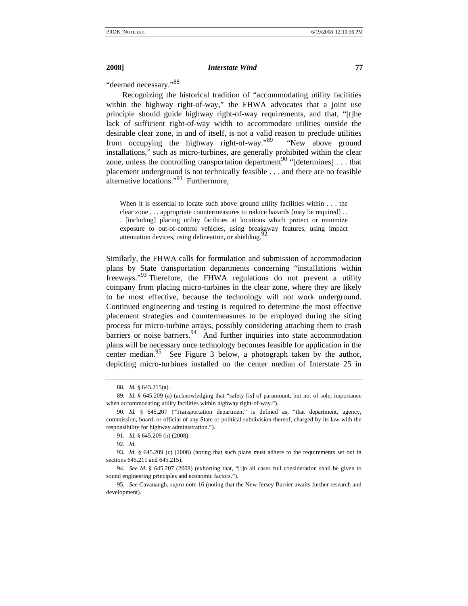"deemed necessary."<sup>88</sup>

Recognizing the historical tradition of "accommodating utility facilities within the highway right-of-way," the FHWA advocates that a joint use principle should guide highway right-of-way requirements, and that, "[t]he lack of sufficient right-of-way width to accommodate utilities outside the desirable clear zone, in and of itself, is not a valid reason to preclude utilities from occupying the highway right-of-way."<sup>89</sup> "New above ground installations," such as micro-turbines, are generally prohibited within the clear zone, unless the controlling transportation department<sup>90</sup> "[determines]  $\dots$  that placement underground is not technically feasible . . . and there are no feasible alternative locations."<sup>91</sup> Furthermore,

When it is essential to locate such above ground utility facilities within . . . the clear zone . . . appropriate countermeasures to reduce hazards [may be required] . . . [including] placing utility facilities at locations which protect or minimize exposure to out-of-control vehicles, using breakaway features, using impact attenuation devices, using delineation, or shielding.<sup>92</sup>

Similarly, the FHWA calls for formulation and submission of accommodation plans by State transportation departments concerning "installations within freeways."<sup>93</sup> Therefore, the FHWA regulations do not prevent a utility company from placing micro-turbines in the clear zone, where they are likely to be most effective, because the technology will not work underground. Continued engineering and testing is required to determine the most effective placement strategies and countermeasures to be employed during the siting process for micro-turbine arrays, possibly considering attaching them to crash barriers or noise barriers. $94$  And further inquiries into state accommodation plans will be necessary once technology becomes feasible for application in the center median.<sup>95</sup> See Figure 3 below, a photograph taken by the author, depicting micro-turbines installed on the center median of Interstate 25 in

<sup>88</sup>*. Id.* § 645.215(a).

<sup>89</sup>*. Id.* § 645.209 (a) (acknowledging that "safety [is] of paramount, but not of sole, importance when accommodating utility facilities within highway right-of-way.").

<sup>90</sup>*. Id.* § 645.207 ("Transportation department" is defined as, "that department, agency, commission, board, or official of any State or political subdivision thereof, charged by its law with the responsibility for highway administration.").

<sup>91</sup>*. Id.* § 645.209 (b) (2008).

<sup>92</sup>*. Id.*

<sup>93</sup>*. Id.* § 645.209 (c) (2008) (noting that such plans must adhere to the requirements set out in sections 645.211 and 645.215).

<sup>94</sup>*. See Id.* § 645.207 (2008) (exhorting that, "[i]n all cases full consideration shall be given to sound engineering principles and economic factors.").

<sup>95</sup>*. See* Cavanaugh, *supra* note 16 (noting that the New Jersey Barrier awaits further research and development).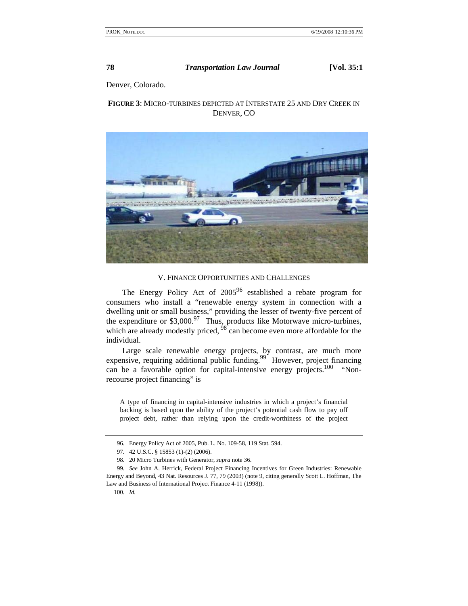Denver, Colorado.

## **FIGURE 3**: MICRO-TURBINES DEPICTED AT INTERSTATE 25 AND DRY CREEK IN DENVER, CO



V. FINANCE OPPORTUNITIES AND CHALLENGES

The Energy Policy Act of  $2005^{96}$  established a rebate program for consumers who install a "renewable energy system in connection with a dwelling unit or small business," providing the lesser of twenty-five percent of the expenditure or  $$3,000.<sup>97</sup>$  Thus, products like Motorwave micro-turbines, which are already modestly priced,  $98^{\circ}$  can become even more affordable for the individual.

Large scale renewable energy projects, by contrast, are much more expensive, requiring additional public funding.<sup>99</sup> However, project financing can be a favorable option for capital-intensive energy projects.<sup>100</sup> "Nonrecourse project financing" is

A type of financing in capital-intensive industries in which a project's financial backing is based upon the ability of the project's potential cash flow to pay off project debt, rather than relying upon the credit-worthiness of the project

 <sup>96.</sup> Energy Policy Act of 2005, Pub. L. No. 109-58, 119 Stat. 594.

 <sup>97. 42</sup> U.S.C. § 15853 (1)-(2) (2006).

 <sup>98. 20</sup> Micro Turbines with Generator, *supra* note 36.

<sup>99</sup>*. See* John A. Herrick, Federal Project Financing Incentives for Green Industries: Renewable Energy and Beyond, 43 Nat. Resources J. 77, 79 (2003) (note 9, citing generally Scott L. Hoffman, The Law and Business of International Project Finance 4-11 (1998)).

<sup>100</sup>*. Id.*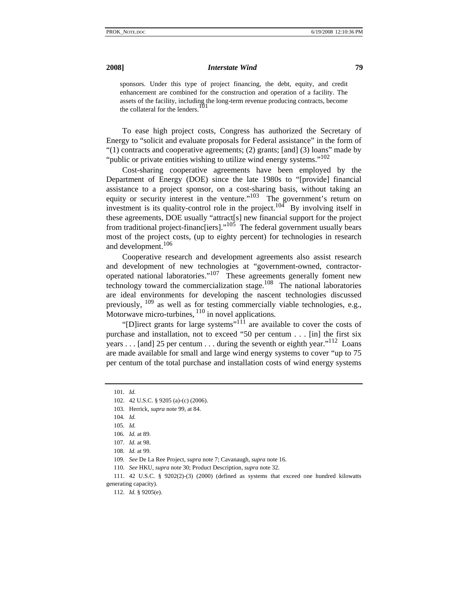sponsors. Under this type of project financing, the debt, equity, and credit enhancement are combined for the construction and operation of a facility. The assets of the facility, including the long-term revenue producing contracts, become the collateral for the lenders.

To ease high project costs, Congress has authorized the Secretary of Energy to "solicit and evaluate proposals for Federal assistance" in the form of "(1) contracts and cooperative agreements; (2) grants; [and] (3) loans" made by "public or private entities wishing to utilize wind energy systems."<sup>102</sup>

Cost-sharing cooperative agreements have been employed by the Department of Energy (DOE) since the late 1980s to "[provide] financial assistance to a project sponsor, on a cost-sharing basis, without taking an equity or security interest in the venture."<sup>103</sup> The government's return on investment is its quality-control role in the project.<sup>104</sup> By involving itself in these agreements, DOE usually "attract[s] new financial support for the project from traditional project-financ[iers]."<sup>105</sup> The federal government usually bears most of the project costs, (up to eighty percent) for technologies in research and development.<sup>106</sup>

Cooperative research and development agreements also assist research and development of new technologies at "government-owned, contractoroperated national laboratories."<sup>107</sup> These agreements generally foment new technology toward the commercialization stage.<sup>108</sup> The national laboratories are ideal environments for developing the nascent technologies discussed previously,  $^{109}$  as well as for testing commercially viable technologies, e.g., Motorwave micro-turbines,  $110$  in novel applications.

"[D]irect grants for large systems"<sup>111</sup> are available to cover the costs of purchase and installation, not to exceed "50 per centum . . . [in] the first six years . . . [and] 25 per centum . . . during the seventh or eighth year."<sup>112</sup> Loans are made available for small and large wind energy systems to cover "up to 75 per centum of the total purchase and installation costs of wind energy systems

<sup>101</sup>*. Id.*

 <sup>102. 42</sup> U.S.C. § 9205 (a)-(c) (2006).

 <sup>103.</sup> Herrick, *supra* note 99, at 84.

<sup>104</sup>*. Id.*

<sup>105</sup>*. Id.*

<sup>106</sup>*. Id.* at 89.

<sup>107</sup>*. Id.* at 98.

<sup>108</sup>*. Id.* at 99.

<sup>109</sup>*. See* De La Ree Project, *supra* note 7; Cavanaugh, *supra* note 16.

<sup>110</sup>*. See* HKU, *supra* note 30; Product Description, *supra* note 32.

 <sup>111. 42</sup> U.S.C. § 9202(2)-(3) (2000) (defined as systems that exceed one hundred kilowatts generating capacity).

<sup>112</sup>*. Id.* § 9205(e).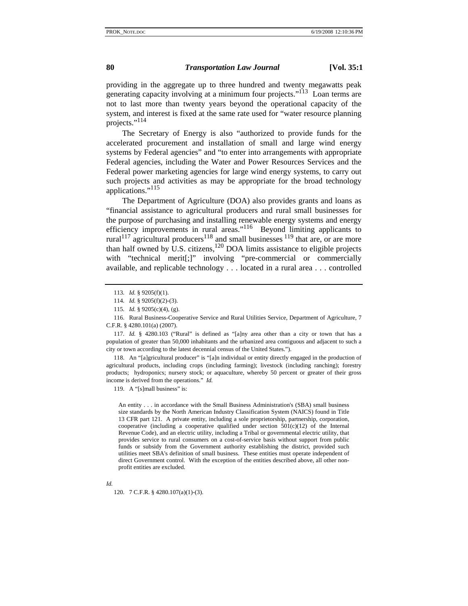providing in the aggregate up to three hundred and twenty megawatts peak generating capacity involving at a minimum four projects."<sup>113</sup> Loan terms are not to last more than twenty years beyond the operational capacity of the system, and interest is fixed at the same rate used for "water resource planning projects."<sup>114</sup>

The Secretary of Energy is also "authorized to provide funds for the accelerated procurement and installation of small and large wind energy systems by Federal agencies" and "to enter into arrangements with appropriate Federal agencies, including the Water and Power Resources Services and the Federal power marketing agencies for large wind energy systems, to carry out such projects and activities as may be appropriate for the broad technology applications."115

The Department of Agriculture (DOA) also provides grants and loans as "financial assistance to agricultural producers and rural small businesses for the purpose of purchasing and installing renewable energy systems and energy efficiency improvements in rural areas."<sup>116</sup> Beyond limiting applicants to rural<sup>117</sup> agricultural producers<sup>118</sup> and small businesses  $119$  that are, or are more than half owned by U.S. citizens, $120$  DOA limits assistance to eligible projects with "technical merit[;]" involving "pre-commercial or commercially available, and replicable technology . . . located in a rural area . . . controlled

117*. Id.* § 4280.103 ("Rural" is defined as "[a]ny area other than a city or town that has a population of greater than 50,000 inhabitants and the urbanized area contiguous and adjacent to such a city or town according to the latest decennial census of the United States.").

 118. An "[a]gricultural producer" is "[a]n individual or entity directly engaged in the production of agricultural products, including crops (including farming); livestock (including ranching); forestry products; hydroponics; nursery stock; or aquaculture, whereby 50 percent or greater of their gross income is derived from the operations." *Id.*

119. A "[s]mall business" is:

An entity . . . in accordance with the Small Business Administration's (SBA) small business size standards by the North American Industry Classification System (NAICS) found in Title 13 CFR part 121. A private entity, including a sole proprietorship, partnership, corporation, cooperative (including a cooperative qualified under section  $501(c)(12)$  of the Internal Revenue Code), and an electric utility, including a Tribal or governmental electric utility, that provides service to rural consumers on a cost-of-service basis without support from public funds or subsidy from the Government authority establishing the district, provided such utilities meet SBA's definition of small business. These entities must operate independent of direct Government control. With the exception of the entities described above, all other nonprofit entities are excluded.

120. 7 C.F.R. § 4280.107(a)(1)-(3).

<sup>113</sup>*. Id.* § 9205(f)(1).

<sup>114</sup>*. Id.* § 9205(f)(2)-(3).

<sup>115</sup>*. Id.* § 9205(c)(4), (g).

 <sup>116.</sup> Rural Business-Cooperative Service and Rural Utilities Service, Department of Agriculture, 7 C.F.R. § 4280.101(a) (2007).

*Id.*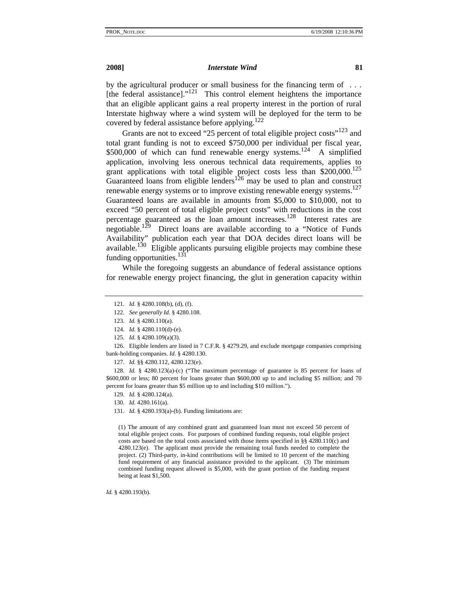by the agricultural producer or small business for the financing term of . . . [the federal assistance]."<sup>121</sup> This control element heightens the importance that an eligible applicant gains a real property interest in the portion of rural Interstate highway where a wind system will be deployed for the term to be covered by federal assistance before applying.<sup>122</sup>

Grants are not to exceed "25 percent of total eligible project costs"<sup>123</sup> and total grant funding is not to exceed \$750,000 per individual per fiscal year, \$500,000 of which can fund renewable energy systems.<sup>124</sup> A simplified application, involving less onerous technical data requirements, applies to grant applications with total eligible project costs less than  $$200,000$ .<sup>125</sup> Guaranteed loans from eligible lenders<sup>126</sup> may be used to plan and construct renewable energy systems or to improve existing renewable energy systems.<sup>127</sup> Guaranteed loans are available in amounts from \$5,000 to \$10,000, not to exceed "50 percent of total eligible project costs" with reductions in the cost percentage guaranteed as the loan amount increases.<sup>128</sup> Interest rates are negotiable.<sup>129</sup> Direct loans are available according to a "Notice of Funds" Availability" publication each year that DOA decides direct loans will be available.<sup>130</sup> Eligible applicants pursuing eligible projects may combine these funding opportunities. $131$ 

While the foregoing suggests an abundance of federal assistance options for renewable energy project financing, the glut in generation capacity within

(1) The amount of any combined grant and guaranteed loan must not exceed 50 percent of total eligible project costs. For purposes of combined funding requests, total eligible project costs are based on the total costs associated with those items specified in §§ 4280.110(c) and 4280.123(e). The applicant must provide the remaining total funds needed to complete the project. (2) Third-party, in-kind contributions will be limited to 10 percent of the matching fund requirement of any financial assistance provided to the applicant. (3) The minimum combined funding request allowed is \$5,000, with the grant portion of the funding request being at least \$1,500.

*Id.* § 4280.193(b).

<sup>121</sup>*. Id.* § 4280.108(b), (d), (f).

<sup>122</sup>*. See generally Id.* § 4280.108.

<sup>123</sup>*. Id.* § 4280.110(a).

<sup>124</sup>*. Id.* § 4280.110(d)-(e).

<sup>125</sup>*. Id.* § 4280.109(a)(3).

 <sup>126.</sup> Eligible lenders are listed in 7 C.F.R. § 4279.29, and exclude mortgage companies comprising bank-holding companies. *Id.* § 4280.130.

<sup>127</sup>*. Id.* §§ 4280.112, 4280.123(e).

<sup>128</sup>*. Id.* § 4280.123(a)-(c) ("The maximum percentage of guarantee is 85 percent for loans of \$600,000 or less; 80 percent for loans greater than \$600,000 up to and including \$5 million; and 70 percent for loans greater than \$5 million up to and including \$10 million.").

<sup>129</sup>*. Id.* § 4280.124(a).

<sup>130</sup>*. Id.* 4280.161(a).

<sup>131</sup>*. Id.* § 4280.193(a)-(b). Funding limitations are: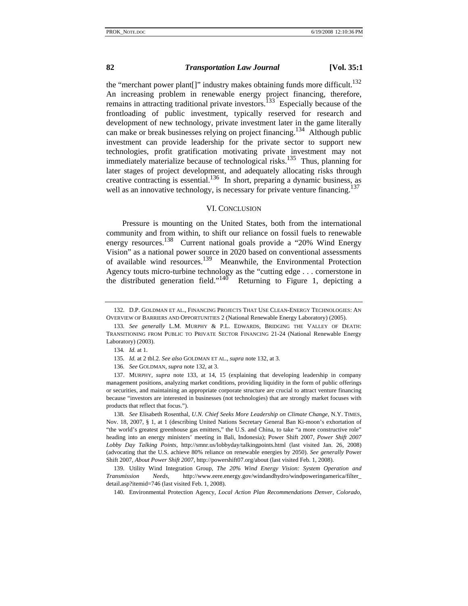the "merchant power plant[]" industry makes obtaining funds more difficult.<sup>132</sup> An increasing problem in renewable energy project financing, therefore, remains in attracting traditional private investors.<sup>133</sup> Especially because of the frontloading of public investment, typically reserved for research and development of new technology, private investment later in the game literally can make or break businesses relying on project financing.<sup>134</sup> Although public investment can provide leadership for the private sector to support new technologies, profit gratification motivating private investment may not immediately materialize because of technological risks.<sup>135</sup> Thus, planning for later stages of project development, and adequately allocating risks through creative contracting is essential.<sup>136</sup> In short, preparing a dynamic business, as well as an innovative technology, is necessary for private venture financing.<sup>137</sup>

### VI. CONCLUSION

Pressure is mounting on the United States, both from the international community and from within, to shift our reliance on fossil fuels to renewable energy resources.<sup>138</sup> Current national goals provide a "20% Wind Energy Vision" as a national power source in 2020 based on conventional assessments of available wind resources.<sup>139</sup> Meanwhile, the Environmental Protection Agency touts micro-turbine technology as the "cutting edge . . . cornerstone in the distributed generation field."140 Returning to Figure 1, depicting a

140. Environmental Protection Agency, *Local Action Plan Recommendations Denver, Colorado*,

 <sup>132.</sup> D.P. GOLDMAN ET AL., FINANCING PROJECTS THAT USE CLEAN-ENERGY TECHNOLOGIES: AN OVERVIEW OF BARRIERS AND OPPORTUNITIES 2 (National Renewable Energy Laboratory) (2005).

<sup>133</sup>*. See generally* L.M. MURPHY & P.L. EDWARDS, BRIDGING THE VALLEY OF DEATH: TRANSITIONING FROM PUBLIC TO PRIVATE SECTOR FINANCING 21-24 (National Renewable Energy Laboratory) (2003).

<sup>134</sup>*. Id.* at 1.

<sup>135</sup>*. Id.* at 2 tbl.2. *See also* GOLDMAN ET AL., *supra* note 132, at 3.

<sup>136</sup>*. See* GOLDMAN, *supra* note 132, at 3.

 <sup>137.</sup> MURPHY, *supra* note 133, at 14, 15 (explaining that developing leadership in company management positions, analyzing market conditions, providing liquidity in the form of public offerings or securities, and maintaining an appropriate corporate structure are crucial to attract venture financing because "investors are interested in businesses (not technologies) that are strongly market focuses with products that reflect that focus.").

<sup>138</sup>*. See* Elisabeth Rosenthal, *U.N. Chief Seeks More Leadership on Climate Change*, N.Y. TIMES, Nov. 18, 2007, § 1, at 1 (describing United Nations Secretary General Ban Ki-moon's exhortation of "the world's greatest greenhouse gas emitters," the U.S. and China, to take "a more constructive role" heading into an energy ministers' meeting in Bali, Indonesia); Power Shift 2007, *Power Shift 2007 Lobby Day Talking Points*, http://smnr.us/lobbyday/talkingpoints.html (last visited Jan. 26, 2008) (advocating that the U.S. achieve 80% reliance on renewable energies by 2050). *See generally* Power Shift 2007, *About Power Shift 2007*, http://powershift07.org/about (last visited Feb. 1, 2008).

 <sup>139.</sup> Utility Wind Integration Group, *The 20% Wind Energy Vision: System Operation and Transmission Needs*, http://www.eere.energy.gov/windandhydro/windpoweringamerica/filter\_ detail.asp?itemid=746 (last visited Feb. 1, 2008).